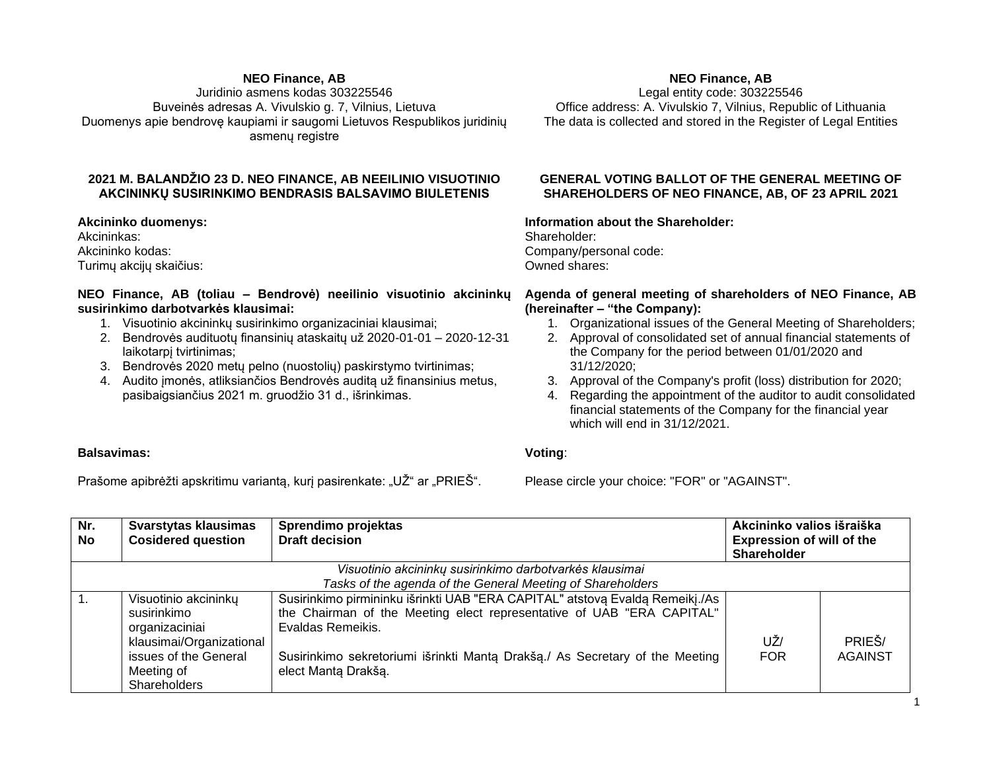#### **NEO Finance, AB**

Juridinio asmens kodas 303225546 Buveinės adresas A. Vivulskio g. 7, Vilnius, Lietuva Duomenys apie bendrovę kaupiami ir saugomi Lietuvos Respublikos juridinių asmenų registre

## **2021 M. BALANDŽIO 23 D. NEO FINANCE, AB NEEILINIO VISUOTINIO AKCININKŲ SUSIRINKIMO BENDRASIS BALSAVIMO BIULETENIS**

**Akcininko duomenys:** Akcininkas: Akcininko kodas: Turimų akcijų skaičius:

## **NEO Finance, AB (toliau – Bendrovė) neeilinio visuotinio akcininkų susirinkimo darbotvarkės klausimai:**

- 1. Visuotinio akcininkų susirinkimo organizaciniai klausimai;
- 2. Bendrovės audituotų finansinių ataskaitų už 2020-01-01 2020-12-31 laikotarpį tvirtinimas;
- 3. Bendrovės 2020 metų pelno (nuostolių) paskirstymo tvirtinimas;
- 4. Audito įmonės, atliksiančios Bendrovės auditą už finansinius metus, pasibaigsiančius 2021 m. gruodžio 31 d., išrinkimas.

## **NEO Finance, AB**

Legal entity code: 303225546 Office address: A. Vivulskio 7, Vilnius, Republic of Lithuania The data is collected and stored in the Register of Legal Entities

#### **GENERAL VOTING BALLOT OF THE GENERAL MEETING OF SHAREHOLDERS OF NEO FINANCE, AB, OF 23 APRIL 2021**

**Information about the Shareholder:**

Shareholder: Company/personal code: Owned shares:

#### **Agenda of general meeting of shareholders of NEO Finance, AB (hereinafter – "the Company):**

- 1. Organizational issues of the General Meeting of Shareholders;
- 2. Approval of consolidated set of annual financial statements of the Company for the period between 01/01/2020 and 31/12/2020;
- 3. Approval of the Company's profit (loss) distribution for 2020;
- 4. Regarding the appointment of the auditor to audit consolidated financial statements of the Company for the financial year which will end in 31/12/2021.

# **Balsavimas:**

**Voting**:

Prašome apibrėžti apskritimu variantą, kuri pasirenkate: "UŽ" ar "PRIEŠ".

Please circle your choice: "FOR" or "AGAINST".

| Nr. | Svarstytas klausimas                                       | Sprendimo projektas                                                          | Akcininko valios išraiška        |         |  |  |  |  |
|-----|------------------------------------------------------------|------------------------------------------------------------------------------|----------------------------------|---------|--|--|--|--|
| No. | <b>Cosidered question</b>                                  | <b>Draft decision</b>                                                        | <b>Expression of will of the</b> |         |  |  |  |  |
|     |                                                            |                                                                              | <b>Shareholder</b>               |         |  |  |  |  |
|     |                                                            | Visuotinio akcininkų susirinkimo darbotvarkės klausimai                      |                                  |         |  |  |  |  |
|     | Tasks of the agenda of the General Meeting of Shareholders |                                                                              |                                  |         |  |  |  |  |
|     | Visuotinio akcininkų                                       | Susirinkimo pirmininku išrinkti UAB "ERA CAPITAL" atstovą Evaldą Remeikį./As |                                  |         |  |  |  |  |
|     | susirinkimo                                                | the Chairman of the Meeting elect representative of UAB "ERA CAPITAL"        |                                  |         |  |  |  |  |
|     | organizaciniai                                             | Evaldas Remeikis.                                                            |                                  |         |  |  |  |  |
|     | klausimai/Organizational                                   |                                                                              | UŽ/                              | PRIEŠ/  |  |  |  |  |
|     | issues of the General                                      | Susirinkimo sekretoriumi išrinkti Manta Drakša./ As Secretary of the Meeting | <b>FOR</b>                       | AGAINST |  |  |  |  |
|     | Meeting of                                                 | elect Manta Drakšą.                                                          |                                  |         |  |  |  |  |
|     | <b>Shareholders</b>                                        |                                                                              |                                  |         |  |  |  |  |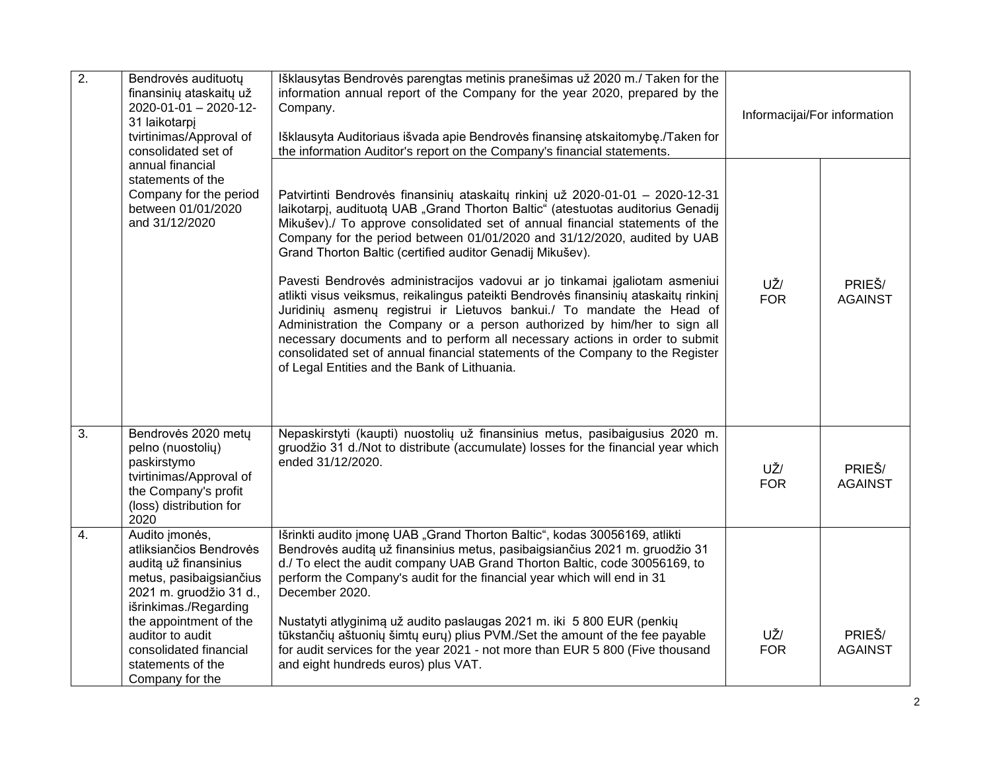| $\overline{2}$ . | Bendrovės audituotų<br>finansinių ataskaitų už<br>2020-01-01 - 2020-12-<br>31 laikotarpį<br>tvirtinimas/Approval of<br>consolidated set of                                                                                                                        | Išklausytas Bendrovės parengtas metinis pranešimas už 2020 m./ Taken for the<br>information annual report of the Company for the year 2020, prepared by the<br>Company.<br>Išklausyta Auditoriaus išvada apie Bendrovės finansinę atskaitomybę./Taken for<br>the information Auditor's report on the Company's financial statements.                                                                                                                                                                                                                                                                                                                                                                                                                                                                                                                                                                                                   | Informacijai/For information |                          |
|------------------|-------------------------------------------------------------------------------------------------------------------------------------------------------------------------------------------------------------------------------------------------------------------|----------------------------------------------------------------------------------------------------------------------------------------------------------------------------------------------------------------------------------------------------------------------------------------------------------------------------------------------------------------------------------------------------------------------------------------------------------------------------------------------------------------------------------------------------------------------------------------------------------------------------------------------------------------------------------------------------------------------------------------------------------------------------------------------------------------------------------------------------------------------------------------------------------------------------------------|------------------------------|--------------------------|
|                  | annual financial<br>statements of the<br>Company for the period<br>between 01/01/2020<br>and 31/12/2020                                                                                                                                                           | Patvirtinti Bendrovės finansinių ataskaitų rinkinį už 2020-01-01 - 2020-12-31<br>laikotarpį, audituotą UAB "Grand Thorton Baltic" (atestuotas auditorius Genadij<br>Mikušev)./ To approve consolidated set of annual financial statements of the<br>Company for the period between 01/01/2020 and 31/12/2020, audited by UAB<br>Grand Thorton Baltic (certified auditor Genadij Mikušev).<br>Pavesti Bendrovės administracijos vadovui ar jo tinkamai įgaliotam asmeniui<br>atlikti visus veiksmus, reikalingus pateikti Bendrovės finansinių ataskaitų rinkinį<br>Juridiniy asmeny registrui ir Lietuvos bankui./ To mandate the Head of<br>Administration the Company or a person authorized by him/her to sign all<br>necessary documents and to perform all necessary actions in order to submit<br>consolidated set of annual financial statements of the Company to the Register<br>of Legal Entities and the Bank of Lithuania. | UŽ/<br><b>FOR</b>            | PRIEŠ/<br><b>AGAINST</b> |
| $\overline{3}$ . | Bendrovės 2020 metų<br>pelno (nuostolių)<br>paskirstymo<br>tvirtinimas/Approval of<br>the Company's profit<br>(loss) distribution for<br>2020                                                                                                                     | Nepaskirstyti (kaupti) nuostolių už finansinius metus, pasibaigusius 2020 m.<br>gruodžio 31 d./Not to distribute (accumulate) losses for the financial year which<br>ended 31/12/2020.                                                                                                                                                                                                                                                                                                                                                                                                                                                                                                                                                                                                                                                                                                                                                 | UŽ/<br><b>FOR</b>            | PRIEŠ/<br><b>AGAINST</b> |
| 4.               | Audito imonės,<br>atliksiančios Bendrovės<br>auditą už finansinius<br>metus, pasibaigsiančius<br>2021 m. gruodžio 31 d.,<br>išrinkimas./Regarding<br>the appointment of the<br>auditor to audit<br>consolidated financial<br>statements of the<br>Company for the | Išrinkti audito jmonę UAB "Grand Thorton Baltic", kodas 30056169, atlikti<br>Bendrovės auditą už finansinius metus, pasibaigsiančius 2021 m. gruodžio 31<br>d./ To elect the audit company UAB Grand Thorton Baltic, code 30056169, to<br>perform the Company's audit for the financial year which will end in 31<br>December 2020.<br>Nustatyti atlyginimą už audito paslaugas 2021 m. iki 5 800 EUR (penkių<br>tūkstančių aštuonių šimtų eurų) plius PVM./Set the amount of the fee payable<br>for audit services for the year 2021 - not more than EUR 5 800 (Five thousand<br>and eight hundreds euros) plus VAT.                                                                                                                                                                                                                                                                                                                  | UŽ/<br><b>FOR</b>            | PRIEŠ/<br><b>AGAINST</b> |